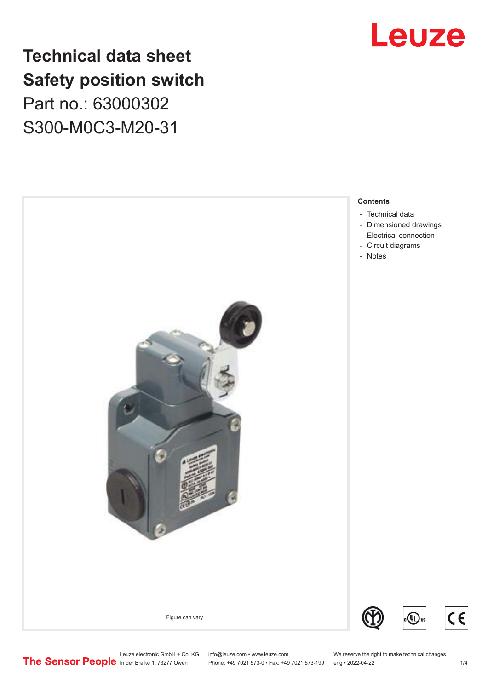## **Technical data sheet Safety position switch** Part no.: 63000302 S300-M0C3-M20-31





Leuze electronic GmbH + Co. KG info@leuze.com • www.leuze.com We reserve the right to make technical changes<br> **The Sensor People** in der Braike 1, 73277 Owen Phone: +49 7021 573-0 • Fax: +49 7021 573-199 eng • 2022-04-22

Phone: +49 7021 573-0 • Fax: +49 7021 573-199 eng • 2022-04-22

 $C \in$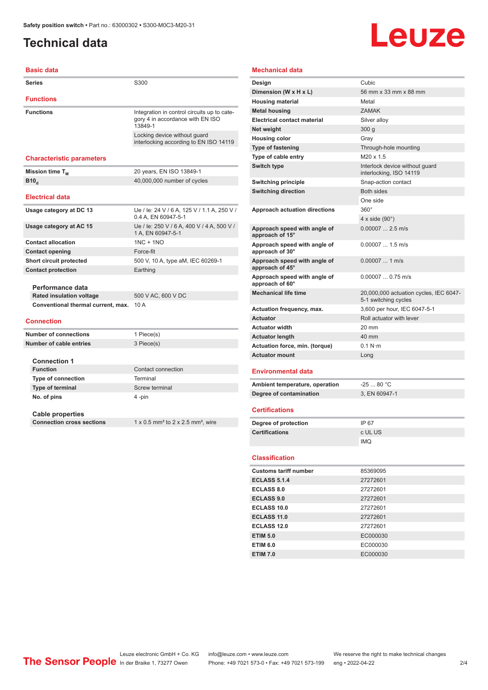## <span id="page-1-0"></span>**Technical data**

# Leuze

#### **Basic data Series** S300 **Functions Functions** Integration in control circuits up to category 4 in accordance with EN ISO 13849-1 Locking device without guard interlocking according to EN ISO 14119 **Characteristic parameters Mission time T<sub>M</sub>** 20 years, EN ISO 13849-1 **B10**<sup>d</sup> 40,000,000 number of cycles **Electrical data Usage category at DC 13** Ue / le: 24 V / 6 A, 125 V / 1.1 A, 250 V / 0.4 A, EN 60947-5-1 **Usage category at AC 15** Ue / Ie: 250 V / 6 A, 400 V / 4 A, 500 V / 1 A, EN 60947-5-1 **Contact allocation** 1NC + 1NO **Contact opening** Force-fit **Short circuit protected** 500 V, 10 A, type aM, IEC 60269-1 **Contact protection** Earthing **Performance data Rated insulation voltage** 500 V AC, 600 V DC **Conventional thermal current, max.** 10 A **Connection Number of connections** 1 Piece(s) **Number of cable entries** 3 Piece(s)

| Number of cable entries | 3 Piece(s)         |
|-------------------------|--------------------|
| <b>Connection 1</b>     |                    |
| <b>Function</b>         | Contact connection |

**Type of connection** Terminal **Type of terminal** Screw terminal **No. of pins** 4 -pin

**Cable properties Connection cross sections** 1 x 0.5 mm<sup>2</sup> to 2 x 2.5 mm<sup>2</sup>, wire

**Mechanical data**

| Design                                          | Cubic                                                          |
|-------------------------------------------------|----------------------------------------------------------------|
| Dimension (W x H x L)                           | 56 mm x 33 mm x 88 mm                                          |
| <b>Housing material</b>                         | Metal                                                          |
| Metal housing                                   | <b>ZAMAK</b>                                                   |
| <b>Electrical contact material</b>              | Silver alloy                                                   |
| Net weiaht                                      | 300q                                                           |
| <b>Housing color</b>                            | Gray                                                           |
| <b>Type of fastening</b>                        | Through-hole mounting                                          |
| Type of cable entry                             | $M20 \times 1.5$                                               |
| Switch type                                     | Interlock device without guard<br>interlocking, ISO 14119      |
| <b>Switching principle</b>                      | Snap-action contact                                            |
| <b>Switching direction</b>                      | <b>Both sides</b>                                              |
|                                                 | One side                                                       |
| <b>Approach actuation directions</b>            | $360^\circ$                                                    |
|                                                 | 4 x side $(90^\circ)$                                          |
| Approach speed with angle of<br>approach of 15° | $0.00007$ 2.5 m/s                                              |
| Approach speed with angle of<br>approach of 30° | $0.000071.5$ m/s                                               |
| Approach speed with angle of<br>approach of 45° | $0.00007$ 1 m/s                                                |
| Approach speed with angle of<br>approach of 60° | $0.000070.75$ m/s                                              |
| <b>Mechanical life time</b>                     | 20,000,000 actuation cycles, IEC 6047-<br>5-1 switching cycles |
| Actuation frequency, max.                       | 3.600 per hour. IEC 6047-5-1                                   |
| <b>Actuator</b>                                 | Roll actuator with lever                                       |
| <b>Actuator width</b>                           | $20 \text{ mm}$                                                |
| <b>Actuator length</b>                          | 40 mm                                                          |
| Actuation force, min. (torque)                  | 0.1 N·m                                                        |
| <b>Actuator mount</b>                           | Long                                                           |
| <b>Environmental data</b>                       |                                                                |
| Ambient temperature, operation                  | $-2580 °C$                                                     |
| Degree of contamination                         | 3. EN 60947-1                                                  |
| <b>Certifications</b>                           |                                                                |
| Degree of protection                            | IP 67                                                          |
| <b>Certifications</b>                           | c UL US                                                        |

#### **Classification**

| <b>Customs tariff number</b> | 85369095 |
|------------------------------|----------|
| <b>ECLASS 5.1.4</b>          | 27272601 |
| <b>ECLASS 8.0</b>            | 27272601 |
| <b>ECLASS 9.0</b>            | 27272601 |
| ECLASS 10.0                  | 27272601 |
| <b>ECLASS 11.0</b>           | 27272601 |
| ECLASS 12.0                  | 27272601 |
| <b>ETIM 5.0</b>              | EC000030 |
| <b>ETIM 6.0</b>              | EC000030 |
| <b>ETIM 7.0</b>              | EC000030 |

IMQ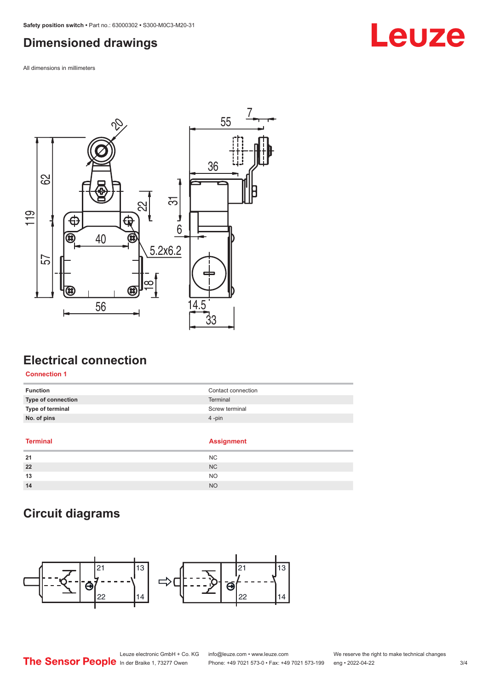### <span id="page-2-0"></span>**Dimensioned drawings**

All dimensions in millimeters



## **Electrical connection**

#### **Connection 1**

| <b>Function</b>           | Contact connection |
|---------------------------|--------------------|
| <b>Type of connection</b> | Terminal           |
| Type of terminal          | Screw terminal     |
| No. of pins               | $4$ -pin           |
|                           |                    |

#### **Terminal Assignment**

| 21 | <b>NC</b> |  |
|----|-----------|--|
| 22 | <b>NC</b> |  |
| 13 | <b>NO</b> |  |
| 14 | <b>NO</b> |  |

## **Circuit diagrams**